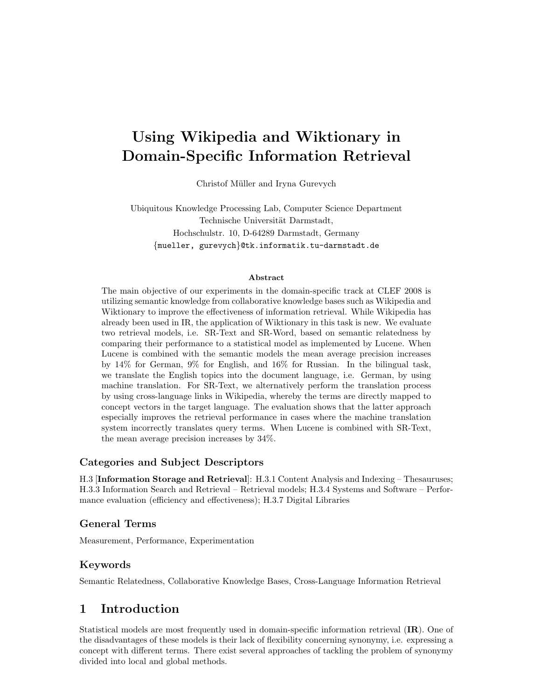# Using Wikipedia and Wiktionary in Domain-Specific Information Retrieval

Christof Müller and Iryna Gurevych

Ubiquitous Knowledge Processing Lab, Computer Science Department Technische Universität Darmstadt, Hochschulstr. 10, D-64289 Darmstadt, Germany {mueller, gurevych}@tk.informatik.tu-darmstadt.de

#### Abstract

The main objective of our experiments in the domain-specific track at CLEF 2008 is utilizing semantic knowledge from collaborative knowledge bases such as Wikipedia and Wiktionary to improve the effectiveness of information retrieval. While Wikipedia has already been used in IR, the application of Wiktionary in this task is new. We evaluate two retrieval models, i.e. SR-Text and SR-Word, based on semantic relatedness by comparing their performance to a statistical model as implemented by Lucene. When Lucene is combined with the semantic models the mean average precision increases by 14% for German, 9% for English, and 16% for Russian. In the bilingual task, we translate the English topics into the document language, i.e. German, by using machine translation. For SR-Text, we alternatively perform the translation process by using cross-language links in Wikipedia, whereby the terms are directly mapped to concept vectors in the target language. The evaluation shows that the latter approach especially improves the retrieval performance in cases where the machine translation system incorrectly translates query terms. When Lucene is combined with SR-Text, the mean average precision increases by 34%.

#### Categories and Subject Descriptors

H.3 [Information Storage and Retrieval]: H.3.1 Content Analysis and Indexing – Thesauruses; H.3.3 Information Search and Retrieval – Retrieval models; H.3.4 Systems and Software – Performance evaluation (efficiency and effectiveness); H.3.7 Digital Libraries

### General Terms

Measurement, Performance, Experimentation

### Keywords

Semantic Relatedness, Collaborative Knowledge Bases, Cross-Language Information Retrieval

# 1 Introduction

Statistical models are most frequently used in domain-specific information retrieval (IR). One of the disadvantages of these models is their lack of flexibility concerning synonymy, i.e. expressing a concept with different terms. There exist several approaches of tackling the problem of synonymy divided into local and global methods.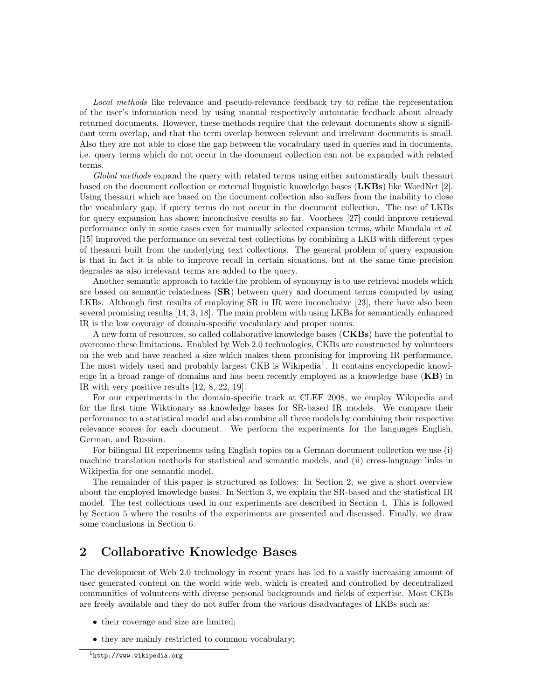Local methods like relevance and pseudo-relevance feedback try to refine the representation of the user's information need by using manual respectively automatic feedback about already returned documents. However, these methods require that the relevant documents show a significant term overlap, and that the term overlap between relevant and irrelevant documents is small. Also they are not able to close the gap between the vocabulary used in queries and in documents, i.e. query terms which do not occur in the document collection can not be expanded with related terms.

Global methods expand the query with related terms using either automatically built thesauri based on the document collection or external linguistic knowledge bases (LKBs) like WordNet [2]. Using thesauri which are based on the document collection also suffers from the inability to close the vocabulary gap, if query terms do not occur in the document collection. The use of LKBs for query expansion has shown inconclusive results so far. Voorhees [27] could improve retrieval performance only in some cases even for manually selected expansion terms, while Mandala et al. [15] improved the performance on several test collections by combining a LKB with different types of thesauri built from the underlying text collections. The general problem of query expansion is that in fact it is able to improve recall in certain situations, but at the same time precision degrades as also irrelevant terms are added to the query.

Another semantic approach to tackle the problem of synonymy is to use retrieval models which are based on semantic relatedness  $(SR)$  between query and document terms computed by using LKBs. Although first results of employing SR in IR were inconclusive [23], there have also been several promising results [14, 3, 18]. The main problem with using LKBs for semantically enhanced IR is the low coverage of domain-specific vocabulary and proper nouns.

A new form of resources, so called collaborative knowledge bases (CKBs) have the potential to overcome these limitations. Enabled by Web 2.0 technologies, CKBs are constructed by volunteers on the web and have reached a size which makes them promising for improving IR performance. The most widely used and probably largest CKB is Wikipedia<sup>1</sup>. It contains encyclopedic knowledge in a broad range of domains and has been recently employed as a knowledge base  $(KB)$  in IR with very positive results [12, 8, 22, 19].

For our experiments in the domain-specific track at CLEF 2008, we employ Wikipedia and for the first time Wiktionary as knowledge bases for SR-based IR models. We compare their performance to a statistical model and also combine all three models by combining their respective relevance scores for each document. We perform the experiments for the languages English, German, and Russian.

For bilingual IR experiments using English topics on a German document collection we use (i) machine translation methods for statistical and semantic models, and (ii) cross-language links in Wikipedia for one semantic model.

The remainder of this paper is structured as follows: In Section 2, we give a short overview about the employed knowledge bases. In Section 3, we explain the SR-based and the statistical IR model. The test collections used in our experiments are described in Section 4. This is followed by Section 5 where the results of the experiments are presented and discussed. Finally, we draw some conclusions in Section 6.

# 2 Collaborative Knowledge Bases

The development of Web 2.0 technology in recent years has led to a vastly increasing amount of user generated content on the world wide web, which is created and controlled by decentralized communities of volunteers with diverse personal backgrounds and fields of expertise. Most CKBs are freely available and they do not suffer from the various disadvantages of LKBs such as:

- their coverage and size are limited;
- they are mainly restricted to common vocabulary;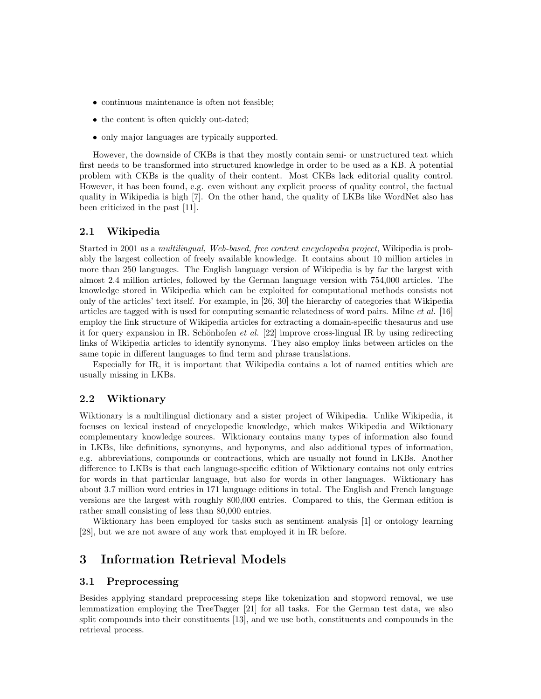- continuous maintenance is often not feasible;
- the content is often quickly out-dated;
- only major languages are typically supported.

However, the downside of CKBs is that they mostly contain semi- or unstructured text which first needs to be transformed into structured knowledge in order to be used as a KB. A potential problem with CKBs is the quality of their content. Most CKBs lack editorial quality control. However, it has been found, e.g. even without any explicit process of quality control, the factual quality in Wikipedia is high [7]. On the other hand, the quality of LKBs like WordNet also has been criticized in the past [11].

#### 2.1 Wikipedia

Started in 2001 as a multilingual, Web-based, free content encyclopedia project, Wikipedia is probably the largest collection of freely available knowledge. It contains about 10 million articles in more than 250 languages. The English language version of Wikipedia is by far the largest with almost 2.4 million articles, followed by the German language version with 754,000 articles. The knowledge stored in Wikipedia which can be exploited for computational methods consists not only of the articles' text itself. For example, in [26, 30] the hierarchy of categories that Wikipedia articles are tagged with is used for computing semantic relatedness of word pairs. Milne *et al.* [16] employ the link structure of Wikipedia articles for extracting a domain-specific thesaurus and use it for query expansion in IR. Schönhofen *et al.* [22] improve cross-lingual IR by using redirecting links of Wikipedia articles to identify synonyms. They also employ links between articles on the same topic in different languages to find term and phrase translations.

Especially for IR, it is important that Wikipedia contains a lot of named entities which are usually missing in LKBs.

#### 2.2 Wiktionary

Wiktionary is a multilingual dictionary and a sister project of Wikipedia. Unlike Wikipedia, it focuses on lexical instead of encyclopedic knowledge, which makes Wikipedia and Wiktionary complementary knowledge sources. Wiktionary contains many types of information also found in LKBs, like definitions, synonyms, and hyponyms, and also additional types of information, e.g. abbreviations, compounds or contractions, which are usually not found in LKBs. Another difference to LKBs is that each language-specific edition of Wiktionary contains not only entries for words in that particular language, but also for words in other languages. Wiktionary has about 3.7 million word entries in 171 language editions in total. The English and French language versions are the largest with roughly 800,000 entries. Compared to this, the German edition is rather small consisting of less than 80,000 entries.

Wiktionary has been employed for tasks such as sentiment analysis [1] or ontology learning [28], but we are not aware of any work that employed it in IR before.

### 3 Information Retrieval Models

#### 3.1 Preprocessing

Besides applying standard preprocessing steps like tokenization and stopword removal, we use lemmatization employing the TreeTagger [21] for all tasks. For the German test data, we also split compounds into their constituents [13], and we use both, constituents and compounds in the retrieval process.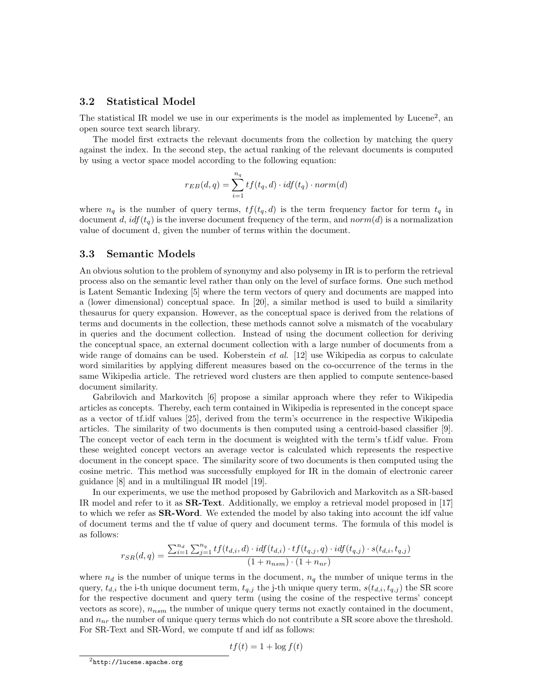### 3.2 Statistical Model

The statistical IR model we use in our experiments is the model as implemented by Lucene<sup>2</sup>, an open source text search library.

The model first extracts the relevant documents from the collection by matching the query against the index. In the second step, the actual ranking of the relevant documents is computed by using a vector space model according to the following equation:

$$
r_{EB}(d,q) = \sum_{i=1}^{n_q} tf(t_q, d) \cdot idf(t_q) \cdot norm(d)
$$

where  $n_q$  is the number of query terms,  $tf(t_q, d)$  is the term frequency factor for term  $t_q$  in document d,  $idf(t_q)$  is the inverse document frequency of the term, and norm(d) is a normalization value of document d, given the number of terms within the document.

#### 3.3 Semantic Models

An obvious solution to the problem of synonymy and also polysemy in IR is to perform the retrieval process also on the semantic level rather than only on the level of surface forms. One such method is Latent Semantic Indexing [5] where the term vectors of query and documents are mapped into a (lower dimensional) conceptual space. In [20], a similar method is used to build a similarity thesaurus for query expansion. However, as the conceptual space is derived from the relations of terms and documents in the collection, these methods cannot solve a mismatch of the vocabulary in queries and the document collection. Instead of using the document collection for deriving the conceptual space, an external document collection with a large number of documents from a wide range of domains can be used. Koberstein *et al.* [12] use Wikipedia as corpus to calculate word similarities by applying different measures based on the co-occurrence of the terms in the same Wikipedia article. The retrieved word clusters are then applied to compute sentence-based document similarity.

Gabrilovich and Markovitch [6] propose a similar approach where they refer to Wikipedia articles as concepts. Thereby, each term contained in Wikipedia is represented in the concept space as a vector of tf.idf values [25], derived from the term's occurrence in the respective Wikipedia articles. The similarity of two documents is then computed using a centroid-based classifier [9]. The concept vector of each term in the document is weighted with the term's tf.idf value. From these weighted concept vectors an average vector is calculated which represents the respective document in the concept space. The similarity score of two documents is then computed using the cosine metric. This method was successfully employed for IR in the domain of electronic career guidance [8] and in a multilingual IR model [19].

In our experiments, we use the method proposed by Gabrilovich and Markovitch as a SR-based IR model and refer to it as SR-Text. Additionally, we employ a retrieval model proposed in [17] to which we refer as **SR-Word**. We extended the model by also taking into account the idf value of document terms and the tf value of query and document terms. The formula of this model is as follows:

$$
r_{SR}(d,q) = \frac{\sum_{i=1}^{n_d} \sum_{j=1}^{n_q} tf(t_{d,i},d) \cdot idf(t_{d,i}) \cdot tf(t_{q,j},q) \cdot idf(t_{q,j}) \cdot s(t_{d,i},t_{q,j})}{(1 + n_{nsm}) \cdot (1 + n_{nr})}
$$

where  $n_d$  is the number of unique terms in the document,  $n_q$  the number of unique terms in the query,  $t_{d,i}$  the i-th unique document term,  $t_{q,j}$  the j-th unique query term,  $s(t_{d,i}, t_{q,j})$  the SR score for the respective document and query term (using the cosine of the respective terms' concept vectors as score),  $n_{nsm}$  the number of unique query terms not exactly contained in the document, and  $n_{nr}$  the number of unique query terms which do not contribute a SR score above the threshold. For SR-Text and SR-Word, we compute tf and idf as follows:

$$
tf(t) = 1 + \log f(t)
$$

 ${}^{2}$ http://lucene.apache.org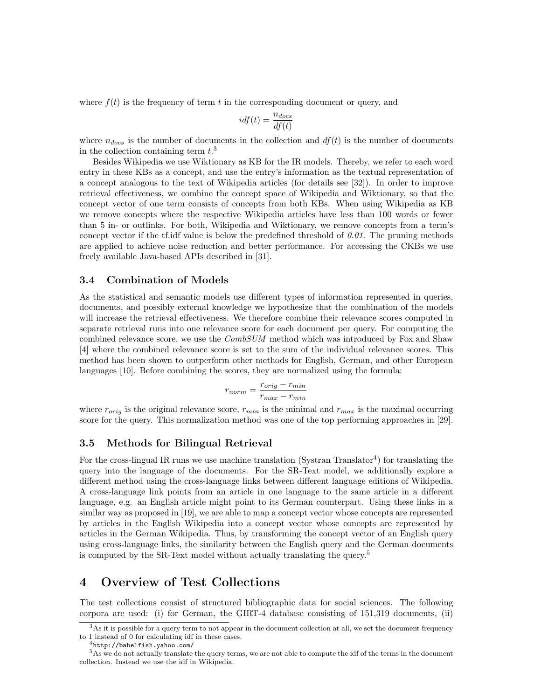where  $f(t)$  is the frequency of term t in the corresponding document or query, and

$$
idf(t) = \frac{n_{docs}}{df(t)}
$$

where  $n_{docs}$  is the number of documents in the collection and  $df(t)$  is the number of documents in the collection containing term  $t.^3$ 

Besides Wikipedia we use Wiktionary as KB for the IR models. Thereby, we refer to each word entry in these KBs as a concept, and use the entry's information as the textual representation of a concept analogous to the text of Wikipedia articles (for details see [32]). In order to improve retrieval effectiveness, we combine the concept space of Wikipedia and Wiktionary, so that the concept vector of one term consists of concepts from both KBs. When using Wikipedia as KB we remove concepts where the respective Wikipedia articles have less than 100 words or fewer than 5 in- or outlinks. For both, Wikipedia and Wiktionary, we remove concepts from a term's concept vector if the tf.idf value is below the predefined threshold of  $0.01$ . The pruning methods are applied to achieve noise reduction and better performance. For accessing the CKBs we use freely available Java-based APIs described in [31].

#### 3.4 Combination of Models

As the statistical and semantic models use different types of information represented in queries, documents, and possibly external knowledge we hypothesize that the combination of the models will increase the retrieval effectiveness. We therefore combine their relevance scores computed in separate retrieval runs into one relevance score for each document per query. For computing the combined relevance score, we use the *CombSUM* method which was introduced by Fox and Shaw [4] where the combined relevance score is set to the sum of the individual relevance scores. This method has been shown to outperform other methods for English, German, and other European languages [10]. Before combining the scores, they are normalized using the formula:

$$
r_{norm} = \frac{r_{orig} - r_{min}}{r_{max} - r_{min}}
$$

where  $r_{orig}$  is the original relevance score,  $r_{min}$  is the minimal and  $r_{max}$  is the maximal occurring score for the query. This normalization method was one of the top performing approaches in [29].

#### 3.5 Methods for Bilingual Retrieval

For the cross-lingual IR runs we use machine translation (Systran Translator<sup>4</sup>) for translating the query into the language of the documents. For the SR-Text model, we additionally explore a different method using the cross-language links between different language editions of Wikipedia. A cross-language link points from an article in one language to the same article in a different language, e.g. an English article might point to its German counterpart. Using these links in a similar way as proposed in [19], we are able to map a concept vector whose concepts are represented by articles in the English Wikipedia into a concept vector whose concepts are represented by articles in the German Wikipedia. Thus, by transforming the concept vector of an English query using cross-language links, the similarity between the English query and the German documents is computed by the SR-Text model without actually translating the query.<sup>5</sup>

# 4 Overview of Test Collections

The test collections consist of structured bibliographic data for social sciences. The following corpora are used: (i) for German, the GIRT-4 database consisting of 151,319 documents, (ii)

 $3\text{As}$  it is possible for a query term to not appear in the document collection at all, we set the document frequency to 1 instead of 0 for calculating idf in these cases.

<sup>4</sup>http://babelfish.yahoo.com/

<sup>5</sup>As we do not actually translate the query terms, we are not able to compute the idf of the terms in the document collection. Instead we use the idf in Wikipedia.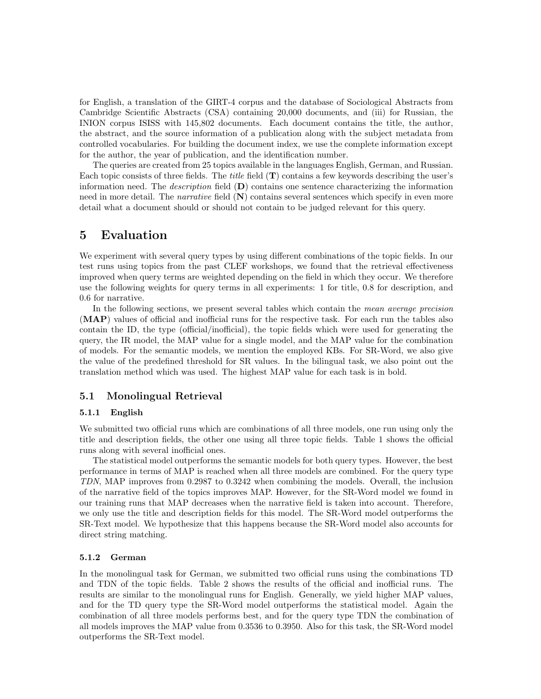for English, a translation of the GIRT-4 corpus and the database of Sociological Abstracts from Cambridge Scientific Abstracts (CSA) containing 20,000 documents, and (iii) for Russian, the INION corpus ISISS with 145,802 documents. Each document contains the title, the author, the abstract, and the source information of a publication along with the subject metadata from controlled vocabularies. For building the document index, we use the complete information except for the author, the year of publication, and the identification number.

The queries are created from 25 topics available in the languages English, German, and Russian. Each topic consists of three fields. The *title* field  $(T)$  contains a few keywords describing the user's information need. The *description* field  $(D)$  contains one sentence characterizing the information need in more detail. The *narrative* field  $(N)$  contains several sentences which specify in even more detail what a document should or should not contain to be judged relevant for this query.

### 5 Evaluation

We experiment with several query types by using different combinations of the topic fields. In our test runs using topics from the past CLEF workshops, we found that the retrieval effectiveness improved when query terms are weighted depending on the field in which they occur. We therefore use the following weights for query terms in all experiments: 1 for title, 0.8 for description, and 0.6 for narrative.

In the following sections, we present several tables which contain the mean average precision (MAP) values of official and inofficial runs for the respective task. For each run the tables also contain the ID, the type (official/inofficial), the topic fields which were used for generating the query, the IR model, the MAP value for a single model, and the MAP value for the combination of models. For the semantic models, we mention the employed KBs. For SR-Word, we also give the value of the predefined threshold for SR values. In the bilingual task, we also point out the translation method which was used. The highest MAP value for each task is in bold.

### 5.1 Monolingual Retrieval

#### 5.1.1 English

We submitted two official runs which are combinations of all three models, one run using only the title and description fields, the other one using all three topic fields. Table 1 shows the official runs along with several inofficial ones.

The statistical model outperforms the semantic models for both query types. However, the best performance in terms of MAP is reached when all three models are combined. For the query type TDN, MAP improves from 0.2987 to 0.3242 when combining the models. Overall, the inclusion of the narrative field of the topics improves MAP. However, for the SR-Word model we found in our training runs that MAP decreases when the narrative field is taken into account. Therefore, we only use the title and description fields for this model. The SR-Word model outperforms the SR-Text model. We hypothesize that this happens because the SR-Word model also accounts for direct string matching.

#### 5.1.2 German

In the monolingual task for German, we submitted two official runs using the combinations TD and TDN of the topic fields. Table 2 shows the results of the official and inofficial runs. The results are similar to the monolingual runs for English. Generally, we yield higher MAP values, and for the TD query type the SR-Word model outperforms the statistical model. Again the combination of all three models performs best, and for the query type TDN the combination of all models improves the MAP value from 0.3536 to 0.3950. Also for this task, the SR-Word model outperforms the SR-Text model.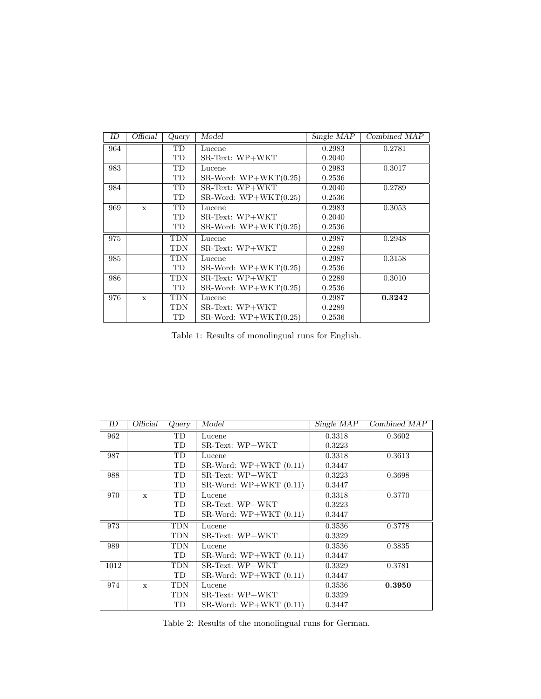| ΙD  | Official     | Query      | Model                             | Single MAP | Combined MAP |  |
|-----|--------------|------------|-----------------------------------|------------|--------------|--|
| 964 |              | TD         | Lucene                            | 0.2983     | 0.2781       |  |
|     |              | TD         | $SR-Text: WP+WKT$                 | 0.2040     |              |  |
| 983 |              | TD         | Lucene                            | 0.2983     | 0.3017       |  |
|     |              | TD         | SR-Word: $WP+WKT(0.25)$<br>0.2536 |            |              |  |
| 984 |              | <b>TD</b>  | $SR-Text: WP+WKT$                 | 0.2040     | 0.2789       |  |
|     |              | TD         | SR-Word: $WP+WKT(0.25)$           | 0.2536     |              |  |
| 969 | $\mathbf{x}$ | <b>TD</b>  | Lucene                            | 0.2983     | 0.3053       |  |
|     |              | TD         | $SR-Text: WP+WKT$                 | 0.2040     |              |  |
|     |              | TD         | $SR-Word: WP+WKT(0.25)$           | 0.2536     |              |  |
| 975 |              | <b>TDN</b> | Lucene                            | 0.2987     | 0.2948       |  |
|     |              | <b>TDN</b> | $SR-Text: WP+WKT$                 | 0.2289     |              |  |
| 985 |              | <b>TDN</b> | Lucene                            | 0.2987     | 0.3158       |  |
|     |              | TD         | $SR-Word: WP+WKT(0.25)$           | 0.2536     |              |  |
| 986 |              | <b>TDN</b> | $SR-Text: WP+WKT$                 | 0.2289     | 0.3010       |  |
|     |              | TD         | $SR-Word: WP+WKT(0.25)$           | 0.2536     |              |  |
| 976 | $\mathbf{x}$ | <b>TDN</b> | Lucene                            | 0.2987     | 0.3242       |  |
|     |              | <b>TDN</b> | $SR-Text: WP+WKT$                 | 0.2289     |              |  |
|     |              | TD         | $SR-Word: WP+WKT(0.25)$           | 0.2536     |              |  |

Table 1: Results of monolingual runs for English.

| ID   | Official     | Query | Single MAP<br>Model      |        | Combined MAP |  |
|------|--------------|-------|--------------------------|--------|--------------|--|
| 962  |              | TD    | Lucene                   | 0.3318 | 0.3602       |  |
|      |              | TD    | $SR-Text: WP+WKT$        | 0.3223 |              |  |
| 987  |              | TD    | Lucene                   | 0.3318 | 0.3613       |  |
|      |              | TD    | $SR-Word: WP+WKT (0.11)$ | 0.3447 |              |  |
| 988  |              | TD    | $SR-Text: WP+WKT$        | 0.3223 | 0.3698       |  |
|      |              | TD    | SR-Word: $WP+WKT(0.11)$  | 0.3447 |              |  |
| 970  | $\mathbf{x}$ | TD    | Lucene                   | 0.3318 | 0.3770       |  |
|      |              | TD    | $SR-Text: WP+WKT$        | 0.3223 |              |  |
|      |              | TD    | SR-Word: $WP+WKT(0.11)$  | 0.3447 |              |  |
| 973  |              | TDN   | Lucene                   | 0.3536 | 0.3778       |  |
|      |              | TDN   | $SR-Text: WP+WKT$        | 0.3329 |              |  |
| 989  |              | TDN   | Lucene                   | 0.3536 | 0.3835       |  |
|      |              | TD    | $SR-Word: WP+WKT (0.11)$ | 0.3447 |              |  |
| 1012 |              | TDN   | $SR-Text: WP+WKT$        | 0.3329 | 0.3781       |  |
|      |              | TD    | $SR-Word: WP+WKT(0.11)$  | 0.3447 |              |  |
| 974  | $\mathbf{x}$ | TDN   | Lucene                   | 0.3536 | 0.3950       |  |
|      |              | TDN   | $SR-Text: WP+WKT$        | 0.3329 |              |  |
|      |              | TD    | $SR-Word: WP+WKT (0.11)$ | 0.3447 |              |  |

Table 2: Results of the monolingual runs for German.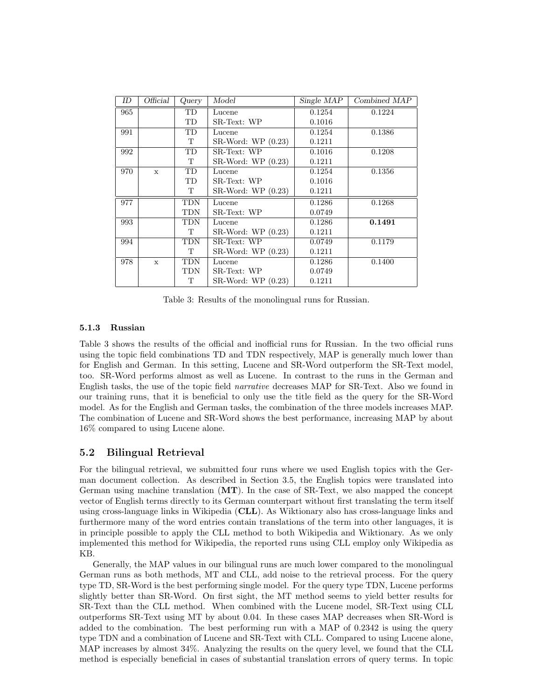| ID  | Official     | Query      | Model               | Single MAP | Combined MAP |  |
|-----|--------------|------------|---------------------|------------|--------------|--|
| 965 |              | <b>TD</b>  | Lucene              | 0.1254     | 0.1224       |  |
|     |              | TD         | SR-Text: WP         | 0.1016     |              |  |
| 991 |              | TD         | Lucene              | 0.1254     | 0.1386       |  |
|     |              | T          | $SR-Word: WP(0.23)$ | 0.1211     |              |  |
| 992 |              | TD         | SR-Text: WP         | 0.1016     | 0.1208       |  |
|     |              | T          | $SR-Word: WP(0.23)$ | 0.1211     |              |  |
| 970 | $\mathbf{x}$ | <b>TD</b>  | Lucene              | 0.1254     | 0.1356       |  |
|     |              | TD         | SR-Text: WP         | 0.1016     |              |  |
|     |              | T          | $SR-Word: WP(0.23)$ | 0.1211     |              |  |
| 977 |              | <b>TDN</b> | Lucene              | 0.1286     | 0.1268       |  |
|     |              | <b>TDN</b> | SR-Text: WP         | 0.0749     |              |  |
| 993 |              | <b>TDN</b> | Lucene              | 0.1286     | 0.1491       |  |
|     |              | T          | SR-Word: WP (0.23)  | 0.1211     |              |  |
| 994 |              | <b>TDN</b> | SR-Text: WP         | 0.0749     | 0.1179       |  |
|     |              | T          | SR-Word: WP (0.23)  | 0.1211     |              |  |
| 978 | $\mathbf{x}$ | <b>TDN</b> | Lucene              | 0.1286     | 0.1400       |  |
|     |              | TDN        | SR-Text: WP         | 0.0749     |              |  |
|     |              | T          | $SR-Word: WP(0.23)$ | 0.1211     |              |  |

Table 3: Results of the monolingual runs for Russian.

#### 5.1.3 Russian

Table 3 shows the results of the official and inofficial runs for Russian. In the two official runs using the topic field combinations TD and TDN respectively, MAP is generally much lower than for English and German. In this setting, Lucene and SR-Word outperform the SR-Text model, too. SR-Word performs almost as well as Lucene. In contrast to the runs in the German and English tasks, the use of the topic field narrative decreases MAP for SR-Text. Also we found in our training runs, that it is beneficial to only use the title field as the query for the SR-Word model. As for the English and German tasks, the combination of the three models increases MAP. The combination of Lucene and SR-Word shows the best performance, increasing MAP by about 16% compared to using Lucene alone.

#### 5.2 Bilingual Retrieval

For the bilingual retrieval, we submitted four runs where we used English topics with the German document collection. As described in Section 3.5, the English topics were translated into German using machine translation  $(MT)$ . In the case of SR-Text, we also mapped the concept vector of English terms directly to its German counterpart without first translating the term itself using cross-language links in Wikipedia (CLL). As Wiktionary also has cross-language links and furthermore many of the word entries contain translations of the term into other languages, it is in principle possible to apply the CLL method to both Wikipedia and Wiktionary. As we only implemented this method for Wikipedia, the reported runs using CLL employ only Wikipedia as KB.

Generally, the MAP values in our bilingual runs are much lower compared to the monolingual German runs as both methods, MT and CLL, add noise to the retrieval process. For the query type TD, SR-Word is the best performing single model. For the query type TDN, Lucene performs slightly better than SR-Word. On first sight, the MT method seems to yield better results for SR-Text than the CLL method. When combined with the Lucene model, SR-Text using CLL outperforms SR-Text using MT by about 0.04. In these cases MAP decreases when SR-Word is added to the combination. The best performing run with a MAP of 0.2342 is using the query type TDN and a combination of Lucene and SR-Text with CLL. Compared to using Lucene alone, MAP increases by almost 34%. Analyzing the results on the query level, we found that the CLL method is especially beneficial in cases of substantial translation errors of query terms. In topic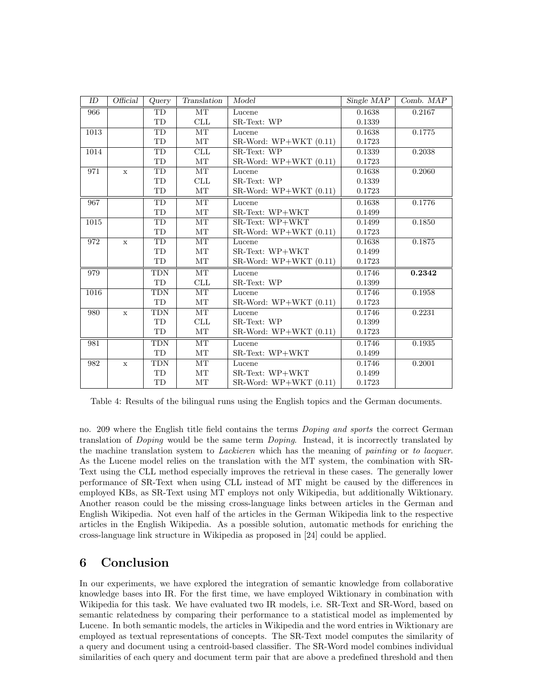| ID   | $\overline{\text{Official}}$ | Query      | Translation | Model                    | Single MAP | Comb. MAP |
|------|------------------------------|------------|-------------|--------------------------|------------|-----------|
| 966  |                              | <b>TD</b>  | <b>MT</b>   | Lucene                   | 0.1638     | 0.2167    |
|      |                              | TD         | CLL         | SR-Text: WP              | 0.1339     |           |
| 1013 |                              | TD         | MT          | Lucene                   | 0.1638     | 0.1775    |
|      |                              | TD         | MT          | $SR-Word: WP+WKT (0.11)$ | 0.1723     |           |
| 1014 |                              | TD         | CLL         | SR-Text: WP              | 0.1339     | 0.2038    |
|      |                              | TD         | MT          | $SR-Word: WP+WKT (0.11)$ | 0.1723     |           |
| 971  | $\mathbf x$                  | TD         | MT          | Lucene                   | 0.1638     | 0.2060    |
|      |                              | TD         | CLL         | SR-Text: WP              | 0.1339     |           |
|      |                              | TD         | MT          | $SR-Word: WP+WKT (0.11)$ | 0.1723     |           |
| 967  |                              | TD         | MT          | Lucene                   | 0.1638     | 0.1776    |
|      |                              | TD         | MT          | SR-Text: WP+WKT          | 0.1499     |           |
| 1015 |                              | TD         | MT          | SR-Text: WP+WKT          | 0.1499     | 0.1850    |
|      |                              | TD         | MT          | SR-Word: WP+WKT (0.11)   | 0.1723     |           |
| 972  | $\mathbf x$                  | TD         | MT          | Lucene                   | 0.1638     | 0.1875    |
|      |                              | TD         | MT          | SR-Text: WP+WKT          | 0.1499     |           |
|      |                              | TD         | MT          | $SR-Word: WP+WKT (0.11)$ | 0.1723     |           |
| 979  |                              | <b>TDN</b> | MT          | Lucene                   | 0.1746     | 0.2342    |
|      |                              | TD         | CLL         | SR-Text: WP              | 0.1399     |           |
| 1016 |                              | <b>TDN</b> | MT          | Lucene                   | 0.1746     | 0.1958    |
|      |                              | TD         | $\rm{MT}$   | $SR-Word: WP+WKT (0.11)$ | 0.1723     |           |
| 980  | $\mathbf x$                  | TDN        | MT          | Lucene                   | 0.1746     | 0.2231    |
|      |                              | TD         | CLL         | SR-Text: WP              | 0.1399     |           |
|      |                              | TD         | MT          | $SR-Word: WP+WKT (0.11)$ | 0.1723     |           |
| 981  |                              | <b>TDN</b> | MT          | Lucene                   | 0.1746     | 0.1935    |
|      |                              | TD         | MT          | SR-Text: WP+WKT          | 0.1499     |           |
| 982  | $\mathbf x$                  | <b>TDN</b> | MT          | Lucene                   | 0.1746     | 0.2001    |
|      |                              | TD         | MT          | SR-Text: WP+WKT          | 0.1499     |           |
|      |                              | TD         | MT          | $SR-Word: WP+WKT (0.11)$ | 0.1723     |           |

Table 4: Results of the bilingual runs using the English topics and the German documents.

no. 209 where the English title field contains the terms Doping and sports the correct German translation of Doping would be the same term Doping. Instead, it is incorrectly translated by the machine translation system to *Lackieren* which has the meaning of *painting* or to lacquer. As the Lucene model relies on the translation with the MT system, the combination with SR-Text using the CLL method especially improves the retrieval in these cases. The generally lower performance of SR-Text when using CLL instead of MT might be caused by the differences in employed KBs, as SR-Text using MT employs not only Wikipedia, but additionally Wiktionary. Another reason could be the missing cross-language links between articles in the German and English Wikipedia. Not even half of the articles in the German Wikipedia link to the respective articles in the English Wikipedia. As a possible solution, automatic methods for enriching the cross-language link structure in Wikipedia as proposed in [24] could be applied.

# 6 Conclusion

In our experiments, we have explored the integration of semantic knowledge from collaborative knowledge bases into IR. For the first time, we have employed Wiktionary in combination with Wikipedia for this task. We have evaluated two IR models, i.e. SR-Text and SR-Word, based on semantic relatedness by comparing their performance to a statistical model as implemented by Lucene. In both semantic models, the articles in Wikipedia and the word entries in Wiktionary are employed as textual representations of concepts. The SR-Text model computes the similarity of a query and document using a centroid-based classifier. The SR-Word model combines individual similarities of each query and document term pair that are above a predefined threshold and then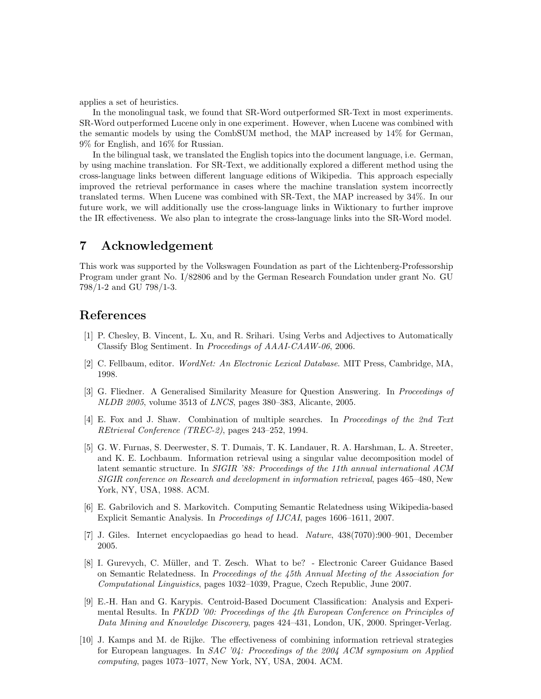applies a set of heuristics.

In the monolingual task, we found that SR-Word outperformed SR-Text in most experiments. SR-Word outperformed Lucene only in one experiment. However, when Lucene was combined with the semantic models by using the CombSUM method, the MAP increased by 14% for German, 9% for English, and 16% for Russian.

In the bilingual task, we translated the English topics into the document language, i.e. German, by using machine translation. For SR-Text, we additionally explored a different method using the cross-language links between different language editions of Wikipedia. This approach especially improved the retrieval performance in cases where the machine translation system incorrectly translated terms. When Lucene was combined with SR-Text, the MAP increased by 34%. In our future work, we will additionally use the cross-language links in Wiktionary to further improve the IR effectiveness. We also plan to integrate the cross-language links into the SR-Word model.

# 7 Acknowledgement

This work was supported by the Volkswagen Foundation as part of the Lichtenberg-Professorship Program under grant No. I/82806 and by the German Research Foundation under grant No. GU 798/1-2 and GU 798/1-3.

## References

- [1] P. Chesley, B. Vincent, L. Xu, and R. Srihari. Using Verbs and Adjectives to Automatically Classify Blog Sentiment. In Proceedings of AAAI-CAAW-06, 2006.
- [2] C. Fellbaum, editor. WordNet: An Electronic Lexical Database. MIT Press, Cambridge, MA, 1998.
- [3] G. Fliedner. A Generalised Similarity Measure for Question Answering. In Proceedings of NLDB 2005, volume 3513 of LNCS, pages 380–383, Alicante, 2005.
- [4] E. Fox and J. Shaw. Combination of multiple searches. In Proceedings of the 2nd Text REtrieval Conference (TREC-2), pages 243–252, 1994.
- [5] G. W. Furnas, S. Deerwester, S. T. Dumais, T. K. Landauer, R. A. Harshman, L. A. Streeter, and K. E. Lochbaum. Information retrieval using a singular value decomposition model of latent semantic structure. In SIGIR '88: Proceedings of the 11th annual international ACM SIGIR conference on Research and development in information retrieval, pages 465–480, New York, NY, USA, 1988. ACM.
- [6] E. Gabrilovich and S. Markovitch. Computing Semantic Relatedness using Wikipedia-based Explicit Semantic Analysis. In Proceedings of IJCAI, pages 1606–1611, 2007.
- [7] J. Giles. Internet encyclopaedias go head to head. Nature, 438(7070):900–901, December 2005.
- [8] I. Gurevych, C. M¨uller, and T. Zesch. What to be? Electronic Career Guidance Based on Semantic Relatedness. In Proceedings of the 45th Annual Meeting of the Association for Computational Linguistics, pages 1032–1039, Prague, Czech Republic, June 2007.
- [9] E.-H. Han and G. Karypis. Centroid-Based Document Classification: Analysis and Experimental Results. In PKDD '00: Proceedings of the 4th European Conference on Principles of Data Mining and Knowledge Discovery, pages 424–431, London, UK, 2000. Springer-Verlag.
- [10] J. Kamps and M. de Rijke. The effectiveness of combining information retrieval strategies for European languages. In  $SAC$  '04: Proceedings of the 2004 ACM symposium on Applied computing, pages 1073–1077, New York, NY, USA, 2004. ACM.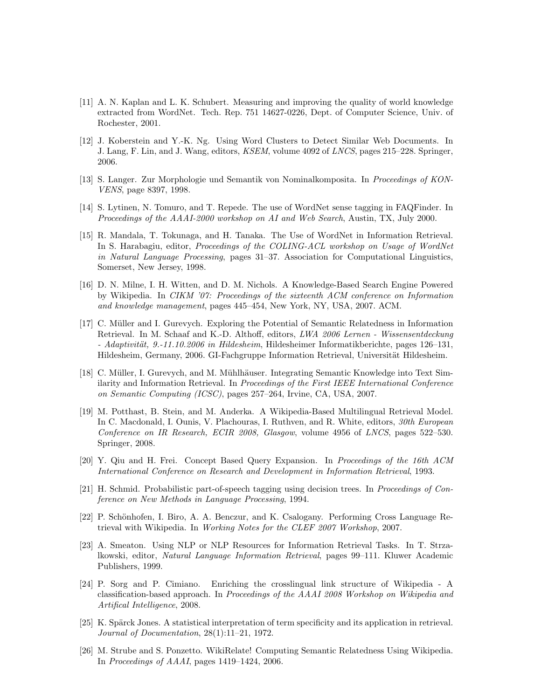- [11] A. N. Kaplan and L. K. Schubert. Measuring and improving the quality of world knowledge extracted from WordNet. Tech. Rep. 751 14627-0226, Dept. of Computer Science, Univ. of Rochester, 2001.
- [12] J. Koberstein and Y.-K. Ng. Using Word Clusters to Detect Similar Web Documents. In J. Lang, F. Lin, and J. Wang, editors, KSEM, volume 4092 of LNCS, pages 215–228. Springer, 2006.
- [13] S. Langer. Zur Morphologie und Semantik von Nominalkomposita. In Proceedings of KON-VENS, page 8397, 1998.
- [14] S. Lytinen, N. Tomuro, and T. Repede. The use of WordNet sense tagging in FAQFinder. In Proceedings of the AAAI-2000 workshop on AI and Web Search, Austin, TX, July 2000.
- [15] R. Mandala, T. Tokunaga, and H. Tanaka. The Use of WordNet in Information Retrieval. In S. Harabagiu, editor, Proceedings of the COLING-ACL workshop on Usage of WordNet in Natural Language Processing, pages 31–37. Association for Computational Linguistics, Somerset, New Jersey, 1998.
- [16] D. N. Milne, I. H. Witten, and D. M. Nichols. A Knowledge-Based Search Engine Powered by Wikipedia. In CIKM '07: Proceedings of the sixteenth ACM conference on Information and knowledge management, pages 445–454, New York, NY, USA, 2007. ACM.
- [17] C. Müller and I. Gurevych. Exploring the Potential of Semantic Relatedness in Information Retrieval. In M. Schaaf and K.-D. Althoff, editors, LWA 2006 Lernen - Wissensentdeckung  $- Adaptivität, 9.-11.10.2006 in Hildesheim, Hildesheimer Informatikberichte, pages 126–131,$ Hildesheim, Germany, 2006. GI-Fachgruppe Information Retrieval, Universität Hildesheim.
- [18] C. Müller, I. Gurevych, and M. Mühlhäuser. Integrating Semantic Knowledge into Text Similarity and Information Retrieval. In *Proceedings of the First IEEE International Conference* on Semantic Computing (ICSC), pages 257–264, Irvine, CA, USA, 2007.
- [19] M. Potthast, B. Stein, and M. Anderka. A Wikipedia-Based Multilingual Retrieval Model. In C. Macdonald, I. Ounis, V. Plachouras, I. Ruthven, and R. White, editors, 30th European Conference on IR Research, ECIR 2008, Glasgow, volume 4956 of LNCS, pages 522–530. Springer, 2008.
- [20] Y. Qiu and H. Frei. Concept Based Query Expansion. In Proceedings of the 16th ACM International Conference on Research and Development in Information Retrieval, 1993.
- [21] H. Schmid. Probabilistic part-of-speech tagging using decision trees. In Proceedings of Conference on New Methods in Language Processing, 1994.
- [22] P. Schönhofen, I. Biro, A. A. Benczur, and K. Csalogany. Performing Cross Language Retrieval with Wikipedia. In Working Notes for the CLEF 2007 Workshop, 2007.
- [23] A. Smeaton. Using NLP or NLP Resources for Information Retrieval Tasks. In T. Strzalkowski, editor, Natural Language Information Retrieval, pages 99–111. Kluwer Academic Publishers, 1999.
- [24] P. Sorg and P. Cimiano. Enriching the crosslingual link structure of Wikipedia A classification-based approach. In Proceedings of the AAAI 2008 Workshop on Wikipedia and Artifical Intelligence, 2008.
- [25] K. Spärck Jones. A statistical interpretation of term specificity and its application in retrieval. Journal of Documentation, 28(1):11–21, 1972.
- [26] M. Strube and S. Ponzetto. WikiRelate! Computing Semantic Relatedness Using Wikipedia. In Proceedings of AAAI, pages 1419–1424, 2006.